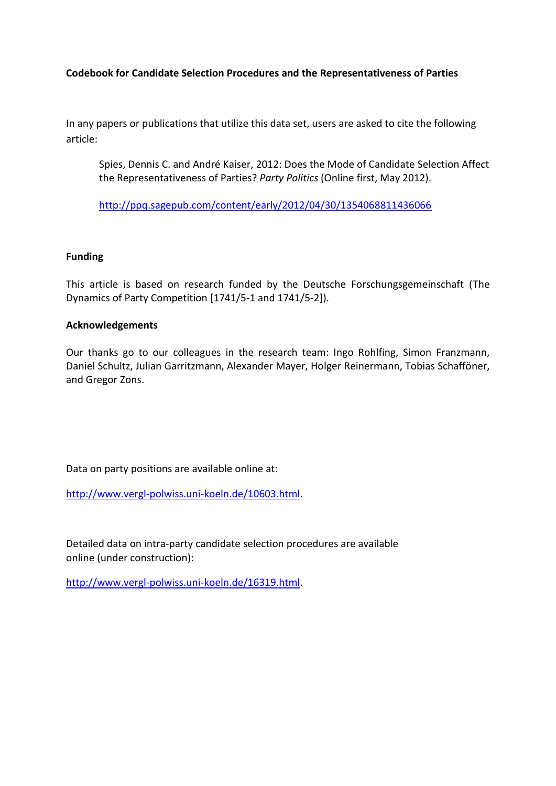**Codebook for Candidate Selection Procedures and the Representativeness of Parties**

In any papers or publications that utilize this data set, users are asked to cite the following article:

Spies, Dennis C. and André Kaiser, 2012: Does the Mode of Candidate Selection Affect the Representativeness of Parties? *Party Politics* (Online first, May 2012).

<http://ppq.sagepub.com/content/early/2012/04/30/1354068811436066>

## **Funding**

This article is based on research funded by the Deutsche Forschungsgemeinschaft (The Dynamics of Party Competition [1741/5-1 and 1741/5-2]).

## **Acknowledgements**

Our thanks go to our colleagues in the research team: Ingo Rohlfing, Simon Franzmann, Daniel Schultz, Julian Garritzmann, Alexander Mayer, Holger Reinermann, Tobias Schafföner, and Gregor Zons.

Data on party positions are available online at:

[http://www.vergl-polwiss.uni-koeln.de/10603.html.](http://www.vergl-polwiss.uni-koeln.de/10603.html)

Detailed data on intra-party candidate selection procedures are available online (under construction):

[http://www.vergl-polwiss.uni-koeln.de/16319.html.](http://www.vergl-polwiss.uni-koeln.de/16319.html)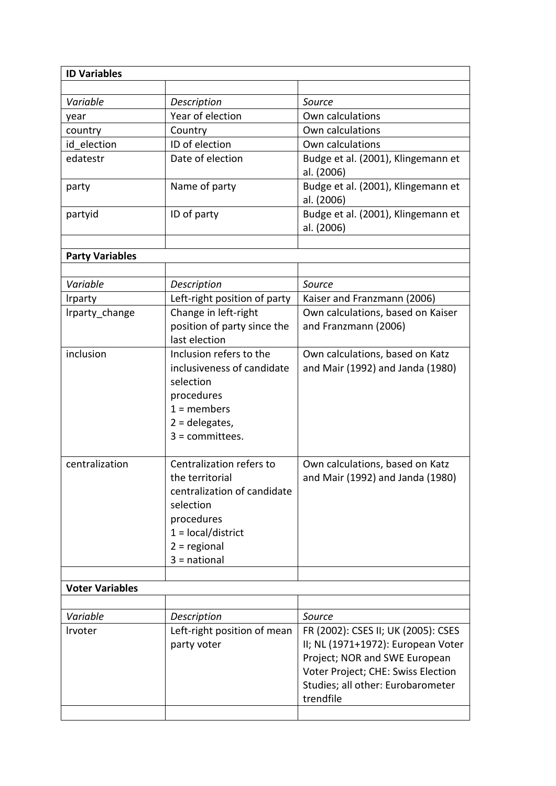| <b>ID Variables</b>    |                                              |                                                  |
|------------------------|----------------------------------------------|--------------------------------------------------|
|                        |                                              |                                                  |
| Variable               | Description                                  | Source                                           |
| year                   | Year of election                             | Own calculations                                 |
| country                | Country                                      | Own calculations                                 |
| id election            | ID of election                               | Own calculations                                 |
| edatestr               | Date of election                             | Budge et al. (2001), Klingemann et<br>al. (2006) |
| party                  | Name of party                                | Budge et al. (2001), Klingemann et<br>al. (2006) |
| partyid                | ID of party                                  | Budge et al. (2001), Klingemann et<br>al. (2006) |
|                        |                                              |                                                  |
| <b>Party Variables</b> |                                              |                                                  |
|                        |                                              |                                                  |
| Variable               | Description                                  | Source                                           |
| <b>Irparty</b>         | Left-right position of party                 | Kaiser and Franzmann (2006)                      |
| Irparty change         | Change in left-right                         | Own calculations, based on Kaiser                |
|                        | position of party since the<br>last election | and Franzmann (2006)                             |
| inclusion              | Inclusion refers to the                      | Own calculations, based on Katz                  |
|                        | inclusiveness of candidate                   | and Mair (1992) and Janda (1980)                 |
|                        | selection                                    |                                                  |
|                        | procedures                                   |                                                  |
|                        | $1 =$ members                                |                                                  |
|                        | $2 =$ delegates,                             |                                                  |
|                        | $3 =$ committees.                            |                                                  |
| centralization         | Centralization refers to                     | Own calculations, based on Katz                  |
|                        | the territorial                              | and Mair (1992) and Janda (1980)                 |
|                        | centralization of candidate                  |                                                  |
|                        | selection                                    |                                                  |
|                        | procedures                                   |                                                  |
|                        | $1 = local/district$                         |                                                  |
|                        | $2 =$ regional                               |                                                  |
|                        | $3 =$ national                               |                                                  |
|                        |                                              |                                                  |
| <b>Voter Variables</b> |                                              |                                                  |
|                        |                                              |                                                  |
| Variable               | Description                                  | Source                                           |
| Irvoter                | Left-right position of mean                  | FR (2002): CSES II; UK (2005): CSES              |
|                        | party voter                                  | II; NL (1971+1972): European Voter               |
|                        |                                              | Project; NOR and SWE European                    |
|                        |                                              | Voter Project; CHE: Swiss Election               |
|                        |                                              | Studies; all other: Eurobarometer                |
|                        |                                              | trendfile                                        |
|                        |                                              |                                                  |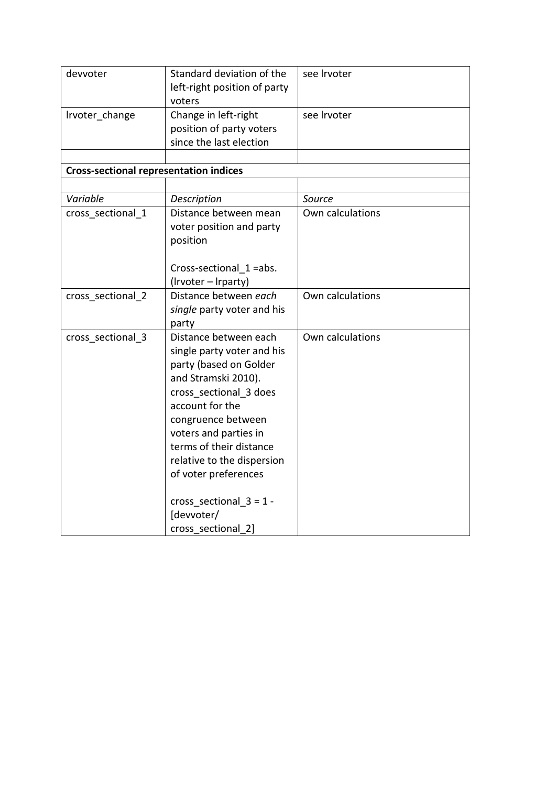| devvoter                                      | Standard deviation of the<br>left-right position of party<br>voters                                                                                                                                                                                                                                                                                | see Irvoter      |
|-----------------------------------------------|----------------------------------------------------------------------------------------------------------------------------------------------------------------------------------------------------------------------------------------------------------------------------------------------------------------------------------------------------|------------------|
| Irvoter_change                                | Change in left-right<br>position of party voters<br>since the last election                                                                                                                                                                                                                                                                        | see Irvoter      |
| <b>Cross-sectional representation indices</b> |                                                                                                                                                                                                                                                                                                                                                    |                  |
|                                               |                                                                                                                                                                                                                                                                                                                                                    |                  |
| Variable                                      | Description                                                                                                                                                                                                                                                                                                                                        | Source           |
| cross sectional 1                             | Distance between mean<br>voter position and party<br>position                                                                                                                                                                                                                                                                                      | Own calculations |
|                                               | Cross-sectional 1 =abs.<br>(Irvoter – Irparty)                                                                                                                                                                                                                                                                                                     |                  |
| cross_sectional_2                             | Distance between each<br>single party voter and his<br>party                                                                                                                                                                                                                                                                                       | Own calculations |
| cross sectional 3                             | Distance between each<br>single party voter and his<br>party (based on Golder<br>and Stramski 2010).<br>cross sectional 3 does<br>account for the<br>congruence between<br>voters and parties in<br>terms of their distance<br>relative to the dispersion<br>of voter preferences<br>cross_sectional_3 = $1 -$<br>[devvoter/<br>cross sectional 2] | Own calculations |